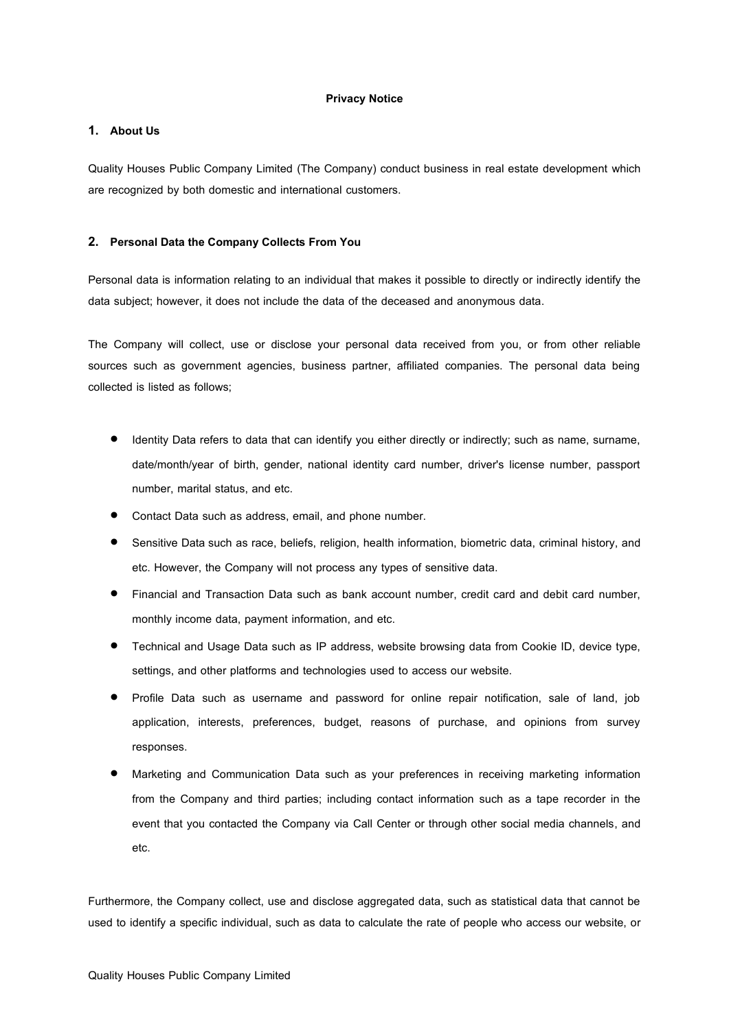## **Privacy Notice**

## **1. About Us**

Quality Houses Public Company Limited (The Company) conduct business in real estate development which are recognized by both domestic and international customers.

## **2. Personal Data the Company CollectsFrom You**

Personal data is information relating to an individual that makes it possible to directly or indirectly identify the data subject; however, it does not include the data of the deceased and anonymous data.

The Company will collect, use or disclose your personal data received from you, or from other reliable sources such as government agencies, business partner, affiliated companies. The personal data being collected is listed as follows;

- Identity Data refers to data that can identify you either directly or indirectly; such as name, surname, date/month/year of birth, gender, national identity card number, driver's license number, passport number, marital status, and etc.
- Contact Data such as address, email, and phone number.
- Sensitive Data such as race, beliefs, religion, health information, biometric data, criminal history, and etc. However, the Company will not process any types of sensitive data.
- Financial and Transaction Data such as bank account number, credit card and debit card number, monthly income data, payment information, and etc.
- Technical and Usage Data such as IP address, website browsing data from Cookie ID, device type, settings, and other platforms and technologies used to access our website.
- Profile Data such as username and password for online repair notification, sale of land, job application, interests, preferences, budget, reasons of purchase, and opinions from survey responses.
- Marketing and Communication Data such as your preferences in receiving marketing information from the Company and third parties; including contact information such as a tape recorder in the event that you contacted the Company via Call Center or through other social media channels, and etc.

Furthermore, the Company collect, use and disclose aggregated data, such as statistical data that cannot be used to identify a specific individual, such as data to calculate the rate of people who access our website, or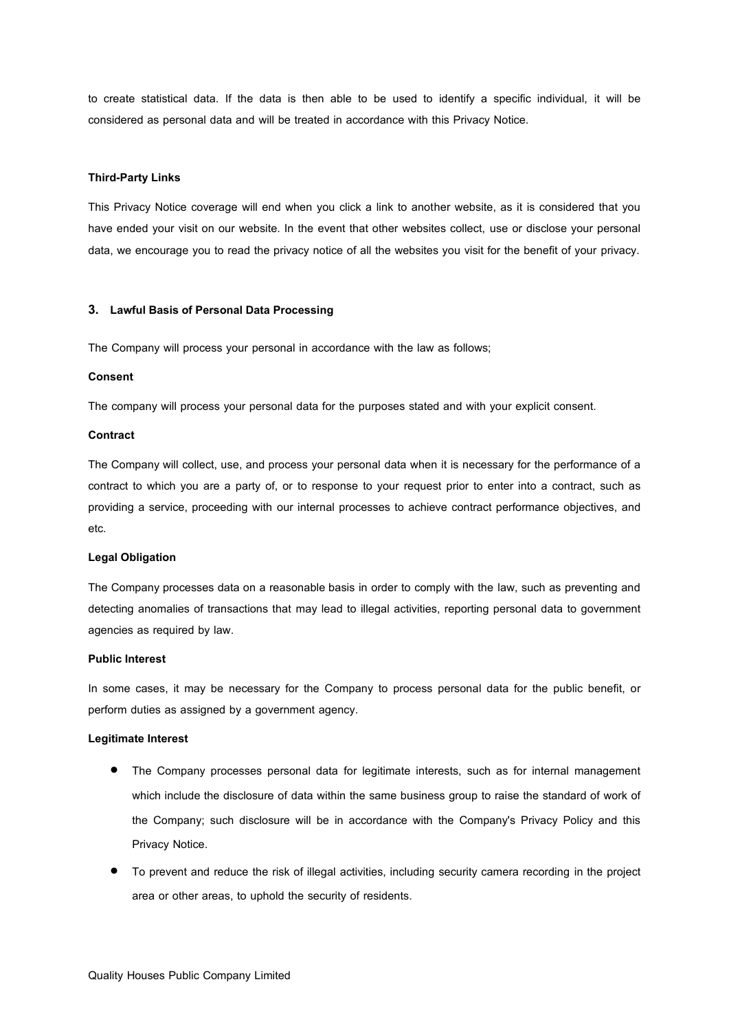to create statistical data. If the data is then able to be used to identify a specific individual, it will be considered as personal data and will be treated in accordance with this Privacy Notice.

### **Third-Party Links**

This Privacy Notice coverage will end when you click a link to another website, as it is considered that you have ended your visit on our website. In the event that other websites collect, use or disclose your personal data, we encourage you to read the privacy notice of all the websites you visit for the benefit of your privacy.

### **3. Lawful Basisof Personal Data Processing**

The Company will process your personal in accordance with the law as follows;

#### **Consent**

The company will process your personal data for the purposes stated and with your explicit consent.

### **Contract**

The Company will collect, use, and process your personal data when it is necessary for the performance of a contract to which you are a party of, or to response to your request prior to enter into a contract, such as providing a service, proceeding with our internal processes to achieve contract performance objectives, and etc.

## **Legal Obligation**

The Company processes data on a reasonable basis in order to comply with the law, such as preventing and detecting anomalies of transactions that may lead to illegal activities, reporting personal data to government agencies as required by law.

#### **Public Interest**

In some cases, it may be necessary for the Company to process personal data for the public benefit, or perform duties as assigned by a government agency.

#### **Legitimate Interest**

- The Company processes personal data for legitimate interests, such as for internal management which include the disclosure of data within the same business group to raise the standard of work of the Company; such disclosure will be in accordance with the Company's Privacy Policy and this Privacy Notice.
- To prevent and reduce the risk of illegal activities, including security camera recording in the project area or other areas, to uphold the security of residents.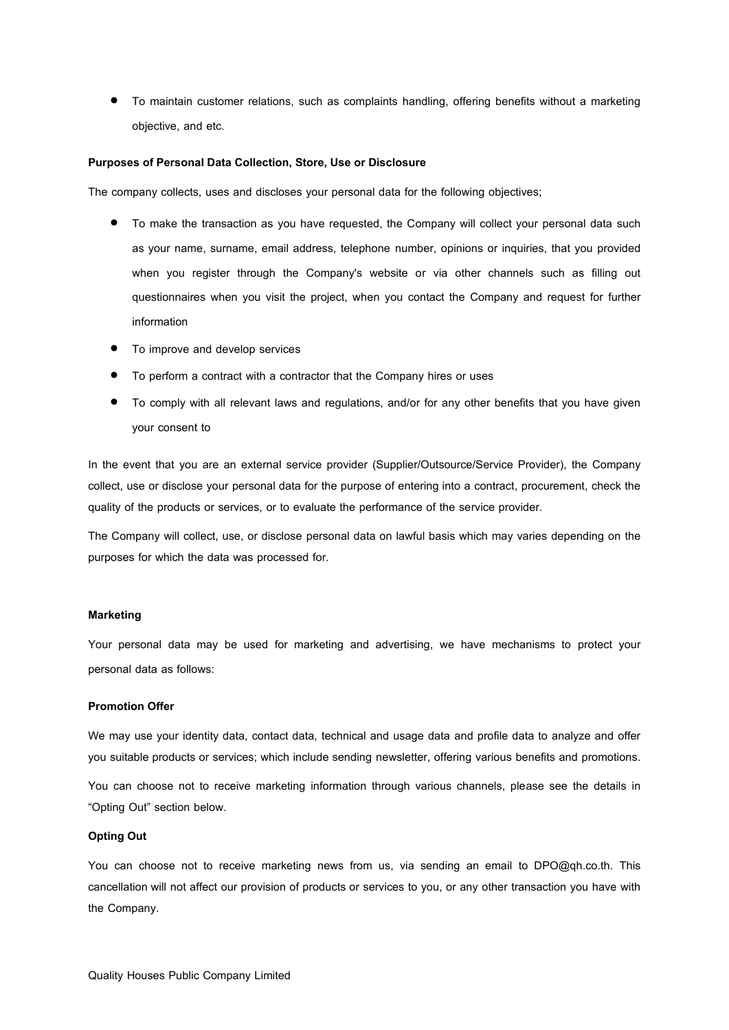To maintain customer relations, such as complaints handling, offering benefits without a marketing objective, and etc.

### **Purposes of Personal Data Collection, Store, Use or Disclosure**

The company collects, uses and discloses your personal data for the following objectives;

- To make the transaction as you have requested, the Company will collect your personal data such as your name, surname, email address, telephone number, opinions or inquiries, that you provided when you register through the Company's website or via other channels such as filling out questionnaires when you visit the project, when you contact the Company and request for further information
- $\bullet$  To improve and develop services
- To perform a contract with a contractor that the Company hires or uses
- To comply with all relevant laws and regulations, and/or for any other benefits that you have given your consent to

In the event that you are an external service provider (Supplier/Outsource/Service Provider), the Company collect, use or disclose your personal data for the purpose of entering into a contract, procurement, check the quality of the products or services, or to evaluate the performance of the service provider.

The Company will collect, use, or disclose personal data on lawful basis which may varies depending on the purposes for which the data was processed for.

#### **Marketing**

Your personal data may be used for marketing and advertising, we have mechanisms to protect your personal data as follows:

## **Promotion Offer**

We may use your identity data, contact data, technical and usage data and profile data to analyze and offer you suitable products or services; which include sending newsletter, offering various benefits and promotions.

You can choose not to receive marketing information through various channels, please see the details in "Opting Out" section below.

## **Opting Out**

You can choose not to receive marketing news from us, via sending an email to DPO@qh.co.th. This cancellation will not affect our provision of products or services to you, or any other transaction you have with the Company.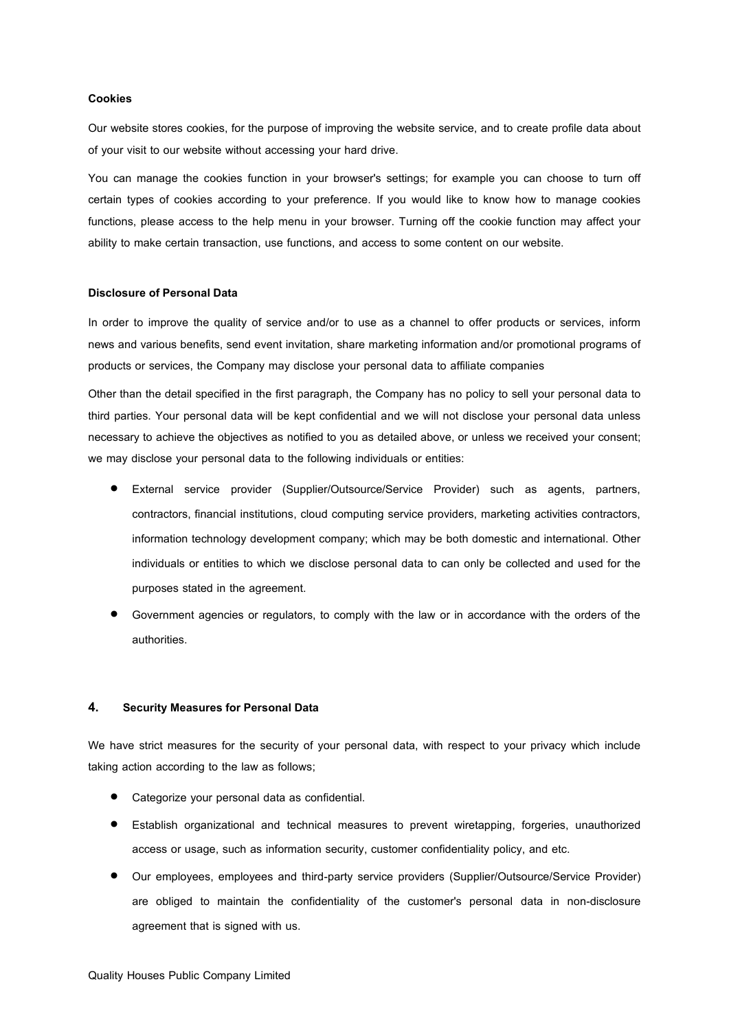### **Cookies**

Our website stores cookies, for the purpose of improving the website service, and to create profile data about of your visit to our website without accessing your hard drive.

You can manage the cookies function in your browser's settings; for example you can choose to turn off certain types of cookies according to your preference. If you would like to know how to manage cookies functions, please access to the help menu in your browser. Turning off the cookie function may affect your ability to make certain transaction, use functions, and access to some content on our website.

### **Disclosure of Personal Data**

In order to improve the quality of service and/or to use as a channel to offer products or services, inform news and various benefits, send event invitation, share marketing information and/or promotional programs of products or services, the Company may disclose your personal data to affiliate companies

Other than the detail specified in the first paragraph, the Company has no policy to sell your personal data to third parties. Your personal data will be kept confidential and we will not disclose your personal data unless necessary to achieve the objectives as notified to you as detailed above, or unless we received your consent; we may disclose your personal data to the following individuals or entities:

- External service provider (Supplier/Outsource/Service Provider) such as agents, partners, contractors, financial institutions, cloud computing service providers, marketing activities contractors, information technology development company; which may be both domestic and international. Other individuals or entities to which we disclose personal data to can only be collected and used for the purposes stated in the agreement.
- Government agencies or regulators, to comply with the law or in accordance with the orders of the authorities.

### **4. Security Measures for Personal Data**

We have strict measures for the security of your personal data, with respect to your privacy which include taking action according to the law as follows;

- Categorize your personal data as confidential.
- Establish organizational and technical measures to prevent wiretapping, forgeries, unauthorized access or usage, such as information security, customer confidentiality policy, and etc.
- Our employees, employees and third-party service providers (Supplier/Outsource/Service Provider) are obliged to maintain the confidentiality of the customer's personal data in non-disclosure agreement that is signed with us.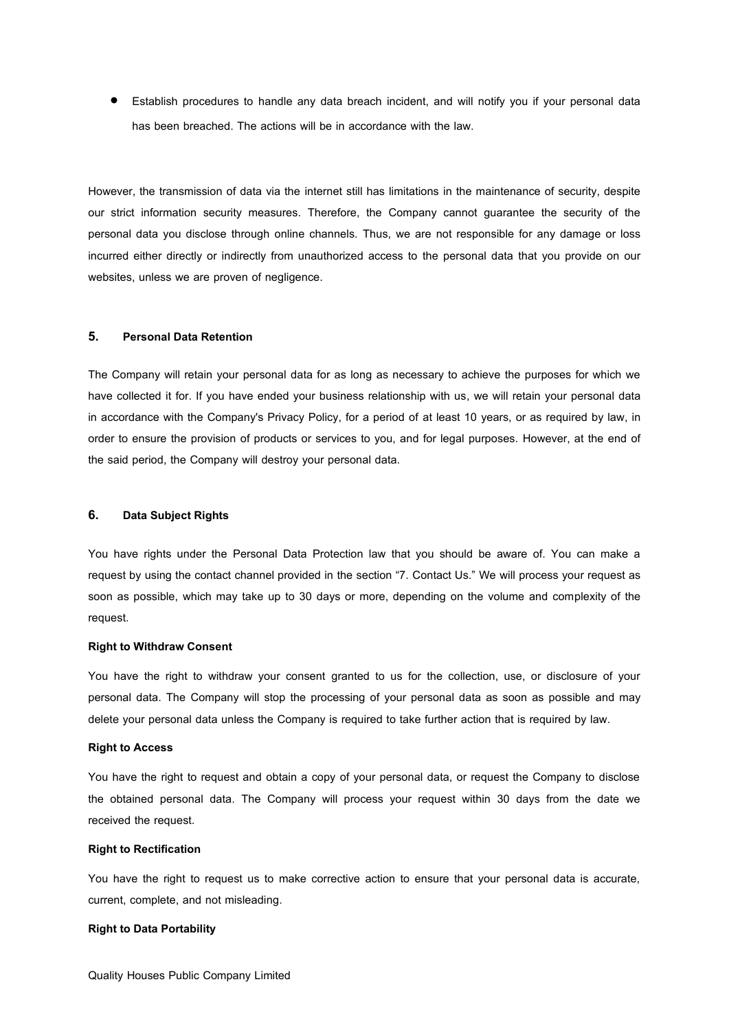Establish procedures to handle any data breach incident, and will notify you if your personal data has been breached. The actions will be in accordance with the law.

However, the transmission of data via the internet still has limitations in the maintenance of security, despite our strict information security measures. Therefore, the Company cannot guarantee the security of the personal data you disclose through online channels. Thus, we are not responsible for any damage or loss incurred either directly or indirectly from unauthorized access to the personal data that you provide on our websites, unless we are proven of negligence.

### **5. Personal Data Retention**

The Company will retain your personal data for as long as necessary to achieve the purposes for which we have collected it for. If you have ended your business relationship with us, we will retain your personal data in accordance with the Company's Privacy Policy, for a period of at least 10 years, or as required by law, in order to ensure the provision of products or services to you, and for legal purposes. However, at the end of the said period, the Company will destroy your personal data.

## **6. Data Subject Rights**

You have rights under the Personal Data Protection law that you should be aware of. You can make a request by using the contact channel provided in the section "7. Contact Us." We will process your request as soon as possible, which may take up to 30 days or more, depending on the volume and complexity of the request.

### **Right to Withdraw Consent**

You have the right to withdraw your consent granted to us for the collection, use, or disclosure of your personal data. The Company will stop the processing of your personal data as soon as possible and may delete your personal data unless the Company is required to take further action that is required by law.

### **Right to Access**

You have the right to request and obtain a copy of your personal data, or request the Company to disclose the obtained personal data. The Company will process your request within 30 days from the date we received the request.

## **Right to Rectification**

You have the right to request us to make corrective action to ensure that your personal data is accurate, current, complete, and not misleading.

## **Right to Data Portability**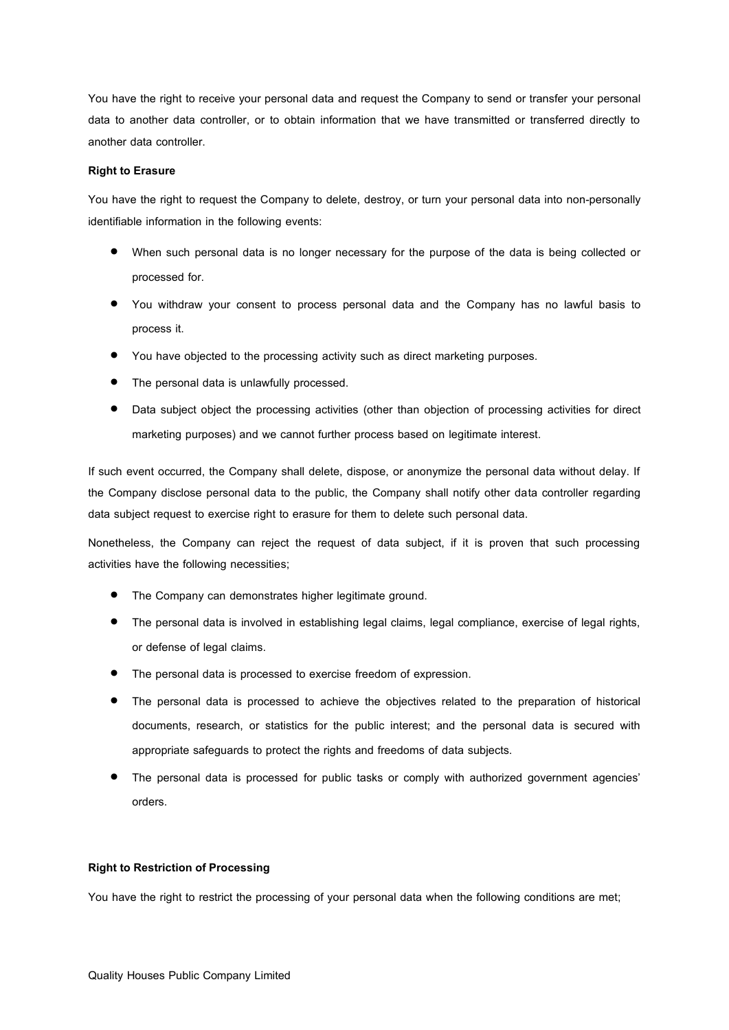You have the right to receive your personal data and request the Company to send or transfer your personal data to another data controller, or to obtain information that we have transmitted or transferred directly to another data controller.

### **Right to Erasure**

You have the right to request the Company to delete, destroy, or turn your personal data into non-personally identifiable information in the following events:

- When such personal data is no longer necessary for the purpose of the data is being collected or processed for.
- You withdraw your consent to process personal data and the Company has no lawful basis to process it.
- You have objected to the processing activity such as direct marketing purposes.
- The personal data is unlawfully processed.
- Data subject object the processing activities (other than objection of processing activities for direct marketing purposes) and we cannot further process based on legitimate interest.

If such event occurred, the Company shall delete, dispose, or anonymize the personal data without delay. If the Company disclose personal data to the public, the Company shall notify other data controller regarding data subject request to exercise right to erasure for them to delete such personal data.

Nonetheless, the Company can reject the request of data subject, if it is proven that such processing activities have the following necessities;

- **•** The Company can demonstrates higher legitimate ground.
- The personal data is involved in establishing legal claims, legal compliance, exercise of legal rights, or defense of legal claims.
- The personal data is processed to exercise freedom of expression.
- The personal data is processed to achieve the objectives related to the preparation of historical documents, research, or statistics for the public interest; and the personal data is secured with appropriate safeguards to protect the rights and freedoms of data subjects.
- The personal data is processed for public tasks or comply with authorized government agencies' orders.

## **Right to Restriction of Processing**

You have the right to restrict the processing of your personal data when the following conditions are met;